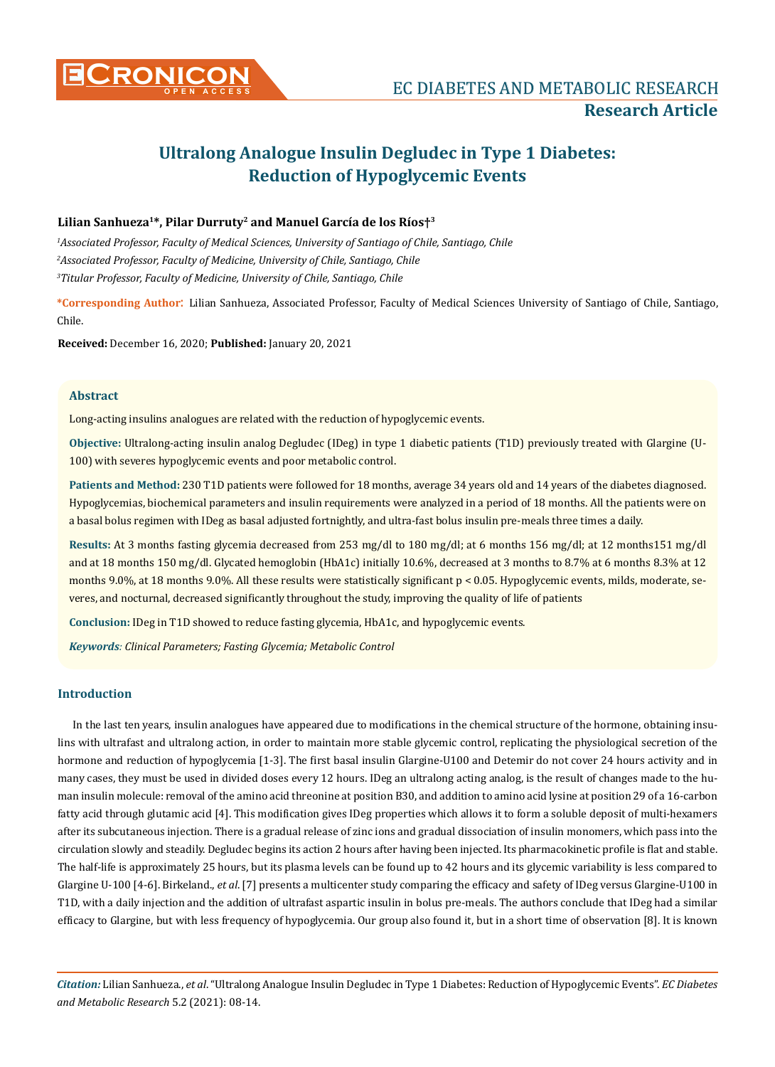

# **Research Article**

# **Ultralong Analogue Insulin Degludec in Type 1 Diabetes: Reduction of Hypoglycemic Events**

### **Lilian Sanhueza1\*, Pilar Durruty2 and Manuel García de los Ríos†3**

*1 Associated Professor, Faculty of Medical Sciences, University of Santiago of Chile, Santiago, Chile 2 Associated Professor, Faculty of Medicine, University of Chile, Santiago, Chile 3 Titular Professor, Faculty of Medicine, University of Chile, Santiago, Chile*

**\*Corresponding Author**: Lilian Sanhueza, Associated Professor, Faculty of Medical Sciences University of Santiago of Chile, Santiago, Chile.

**Received:** December 16, 2020; **Published:** January 20, 2021

#### **Abstract**

Long-acting insulins analogues are related with the reduction of hypoglycemic events.

**Objective:** Ultralong-acting insulin analog Degludec (IDeg) in type 1 diabetic patients (T1D) previously treated with Glargine (U-100) with severes hypoglycemic events and poor metabolic control.

**Patients and Method:** 230 T1D patients were followed for 18 months, average 34 years old and 14 years of the diabetes diagnosed. Hypoglycemias, biochemical parameters and insulin requirements were analyzed in a period of 18 months. All the patients were on a basal bolus regimen with IDeg as basal adjusted fortnightly, and ultra-fast bolus insulin pre-meals three times a daily.

**Results:** At 3 months fasting glycemia decreased from 253 mg/dl to 180 mg/dl; at 6 months 156 mg/dl; at 12 months151 mg/dl and at 18 months 150 mg/dl. Glycated hemoglobin (HbA1c) initially 10.6%, decreased at 3 months to 8.7% at 6 months 8.3% at 12 months 9.0%, at 18 months 9.0%. All these results were statistically significant  $p < 0.05$ . Hypoglycemic events, milds, moderate, severes, and nocturnal, decreased significantly throughout the study, improving the quality of life of patients

**Conclusion:** IDeg in T1D showed to reduce fasting glycemia, HbA1c, and hypoglycemic events.

*Keywords: Clinical Parameters; Fasting Glycemia; Metabolic Control*

#### **Introduction**

In the last ten years, insulin analogues have appeared due to modifications in the chemical structure of the hormone, obtaining insulins with ultrafast and ultralong action, in order to maintain more stable glycemic control, replicating the physiological secretion of the hormone and reduction of hypoglycemia [1-3]. The first basal insulin Glargine-U100 and Detemir do not cover 24 hours activity and in many cases, they must be used in divided doses every 12 hours. IDeg an ultralong acting analog, is the result of changes made to the human insulin molecule: removal of the amino acid threonine at position B30, and addition to amino acid lysine at position 29 of a 16-carbon fatty acid through glutamic acid [4]. This modification gives IDeg properties which allows it to form a soluble deposit of multi-hexamers after its subcutaneous injection. There is a gradual release of zinc ions and gradual dissociation of insulin monomers, which pass into the circulation slowly and steadily. Degludec begins its action 2 hours after having been injected. Its pharmacokinetic profile is flat and stable. The half-life is approximately 25 hours, but its plasma levels can be found up to 42 hours and its glycemic variability is less compared to Glargine U-100 [4-6]. Birkeland., *et al*. [7] presents a multicenter study comparing the efficacy and safety of IDeg versus Glargine-U100 in T1D, with a daily injection and the addition of ultrafast aspartic insulin in bolus pre-meals. The authors conclude that IDeg had a similar efficacy to Glargine, but with less frequency of hypoglycemia. Our group also found it, but in a short time of observation [8]. It is known

*Citation:* Lilian Sanhueza., *et al*. "Ultralong Analogue Insulin Degludec in Type 1 Diabetes: Reduction of Hypoglycemic Events". *EC Diabetes and Metabolic Research* 5.2 (2021): 08-14.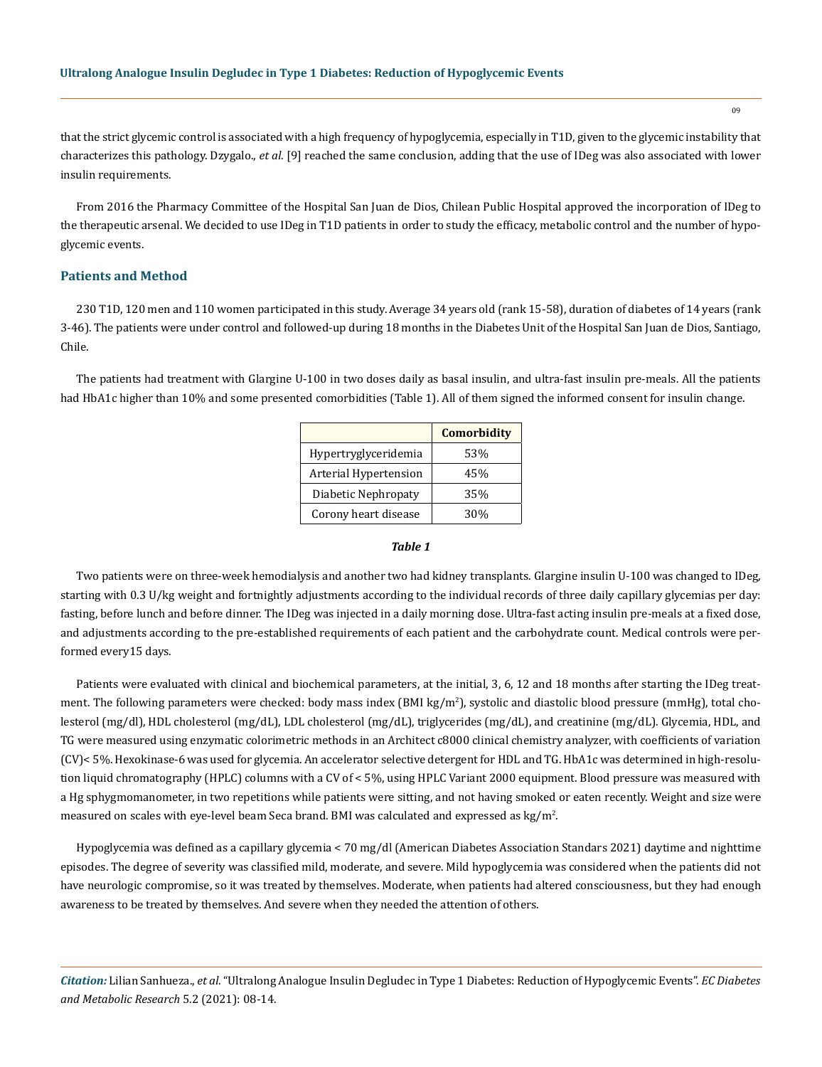that the strict glycemic control is associated with a high frequency of hypoglycemia, especially in T1D, given to the glycemic instability that characterizes this pathology. Dzygalo., *et al*. [9] reached the same conclusion, adding that the use of IDeg was also associated with lower insulin requirements.

From 2016 the Pharmacy Committee of the Hospital San Juan de Dios, Chilean Public Hospital approved the incorporation of IDeg to the therapeutic arsenal. We decided to use IDeg in T1D patients in order to study the efficacy, metabolic control and the number of hypoglycemic events.

#### **Patients and Method**

230 T1D, 120 men and 110 women participated in this study. Average 34 years old (rank 15-58), duration of diabetes of 14 years (rank 3-46). The patients were under control and followed-up during 18 months in the Diabetes Unit of the Hospital San Juan de Dios, Santiago, Chile.

The patients had treatment with Glargine U-100 in two doses daily as basal insulin, and ultra-fast insulin pre-meals. All the patients had HbA1c higher than 10% and some presented comorbidities (Table 1). All of them signed the informed consent for insulin change.

|                       | <b>Comorbidity</b> |
|-----------------------|--------------------|
| Hypertryglyceridemia  | 53%                |
| Arterial Hypertension | 45%                |
| Diabetic Nephropaty   | 35%                |
| Corony heart disease  | 30%                |

#### *Table 1*

Two patients were on three-week hemodialysis and another two had kidney transplants. Glargine insulin U-100 was changed to IDeg, starting with 0.3 U/kg weight and fortnightly adjustments according to the individual records of three daily capillary glycemias per day: fasting, before lunch and before dinner. The IDeg was injected in a daily morning dose. Ultra-fast acting insulin pre-meals at a fixed dose, and adjustments according to the pre-established requirements of each patient and the carbohydrate count. Medical controls were performed every15 days.

Patients were evaluated with clinical and biochemical parameters, at the initial, 3, 6, 12 and 18 months after starting the IDeg treatment. The following parameters were checked: body mass index (BMI kg/m<sup>2</sup>), systolic and diastolic blood pressure (mmHg), total cholesterol (mg/dl), HDL cholesterol (mg/dL), LDL cholesterol (mg/dL), triglycerides (mg/dL), and creatinine (mg/dL). Glycemia, HDL, and TG were measured using enzymatic colorimetric methods in an Architect c8000 clinical chemistry analyzer, with coefficients of variation (CV)< 5%. Hexokinase-6 was used for glycemia. An accelerator selective detergent for HDL and TG. HbA1c was determined in high-resolution liquid chromatography (HPLC) columns with a CV of < 5%, using HPLC Variant 2000 equipment. Blood pressure was measured with a Hg sphygmomanometer, in two repetitions while patients were sitting, and not having smoked or eaten recently. Weight and size were measured on scales with eye-level beam Seca brand. BMI was calculated and expressed as kg/m<sup>2</sup>.

Hypoglycemia was defined as a capillary glycemia < 70 mg/dl (American Diabetes Association Standars 2021) daytime and nighttime episodes. The degree of severity was classified mild, moderate, and severe. Mild hypoglycemia was considered when the patients did not have neurologic compromise, so it was treated by themselves. Moderate, when patients had altered consciousness, but they had enough awareness to be treated by themselves. And severe when they needed the attention of others.

*Citation:* Lilian Sanhueza., *et al*. "Ultralong Analogue Insulin Degludec in Type 1 Diabetes: Reduction of Hypoglycemic Events". *EC Diabetes and Metabolic Research* 5.2 (2021): 08-14.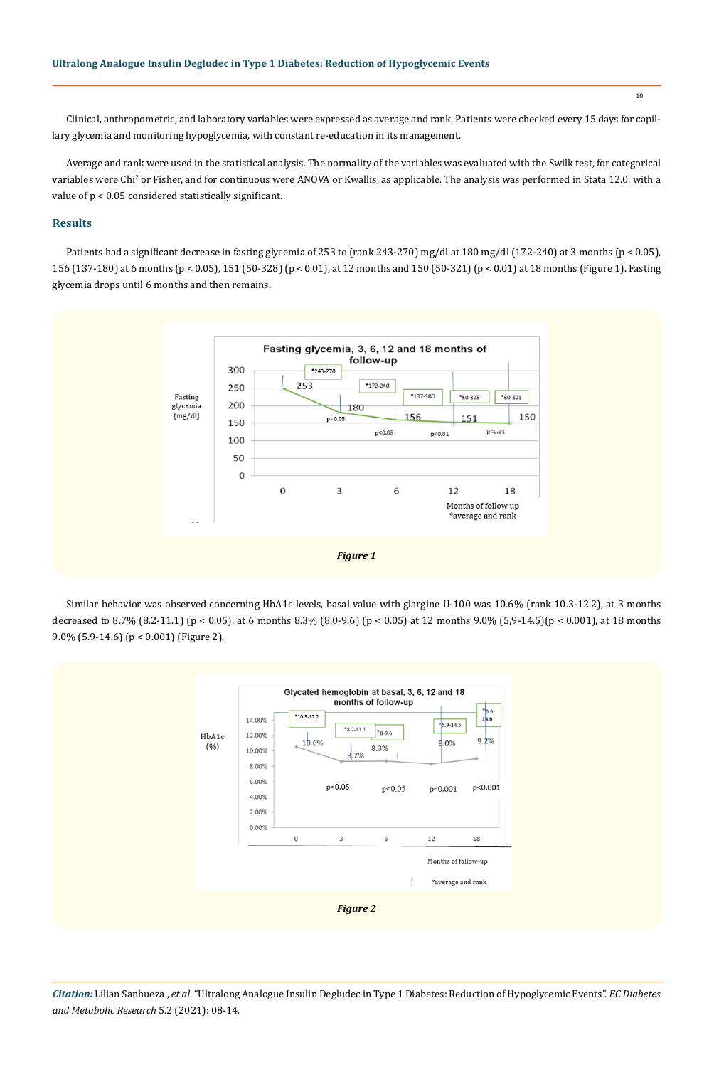Clinical, anthropometric, and laboratory variables were expressed as average and rank. Patients were checked every 15 days for capillary glycemia and monitoring hypoglycemia, with constant re-education in its management.

Average and rank were used in the statistical analysis. The normality of the variables was evaluated with the Swilk test, for categorical variables were Chi<sup>2</sup> or Fisher, and for continuous were ANOVA or Kwallis, as applicable. The analysis was performed in Stata 12.0, with a value of p < 0.05 considered statistically significant.

#### **Results**

Patients had a significant decrease in fasting glycemia of 253 to (rank 243-270) mg/dl at 180 mg/dl (172-240) at 3 months (p < 0.05), 156 (137-180) at 6 months (p < 0.05), 151 (50-328) (p < 0.01), at 12 months and 150 (50-321) (p < 0.01) at 18 months (Figure 1). Fasting glycemia drops until 6 months and then remains.



Similar behavior was observed concerning HbA1c levels, basal value with glargine U-100 was 10.6% (rank 10.3-12.2), at 3 months decreased to 8.7% (8.2-11.1) (p < 0.05), at 6 months 8.3% (8.0-9.6) (p < 0.05) at 12 months 9.0% (5,9-14.5)(p < 0.001), at 18 months 9.0% (5.9-14.6) (p < 0.001) (Figure 2).



*Citation:* Lilian Sanhueza., *et al*. "Ultralong Analogue Insulin Degludec in Type 1 Diabetes: Reduction of Hypoglycemic Events". *EC Diabetes and Metabolic Research* 5.2 (2021): 08-14.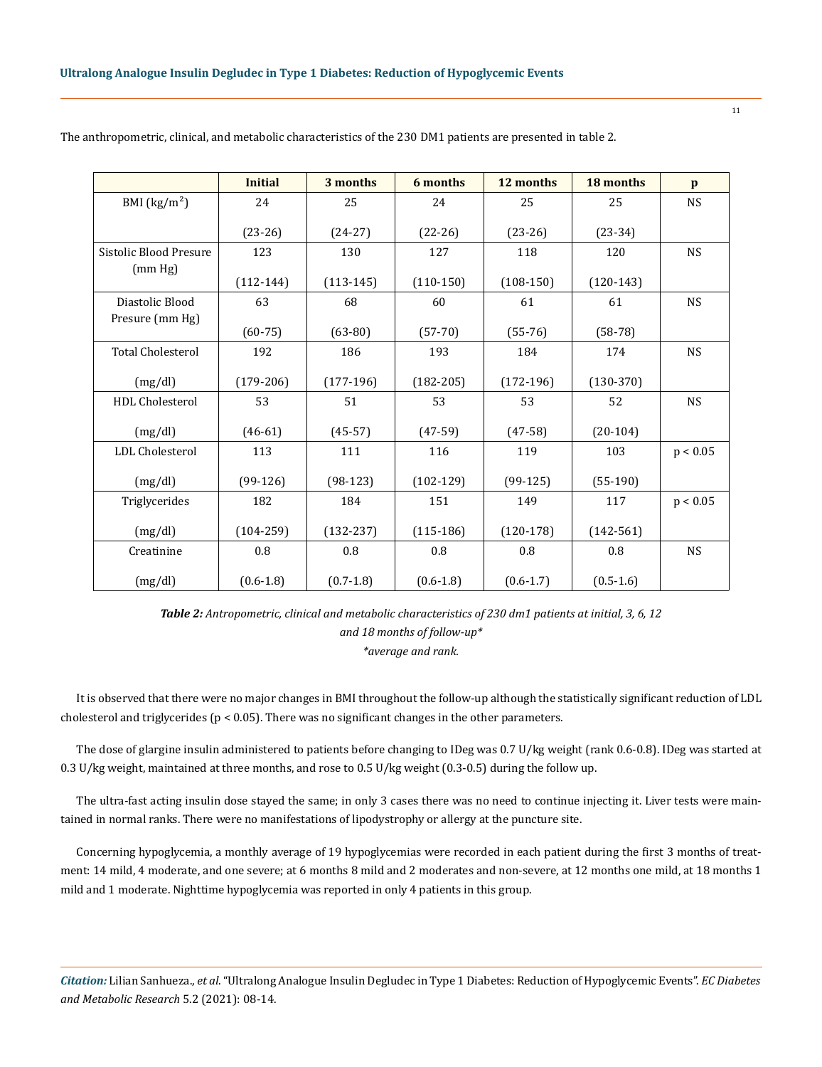|                          | <b>Initial</b> | 3 months      | 6 months      | 12 months     | 18 months     | $\mathbf{p}$ |
|--------------------------|----------------|---------------|---------------|---------------|---------------|--------------|
| BMI $(kg/m2)$            | 24             | 25            | 24            | 25            | 25            | <b>NS</b>    |
|                          | $(23-26)$      | $(24-27)$     | $(22-26)$     | $(23-26)$     | $(23-34)$     |              |
| Sistolic Blood Presure   | 123            | 130           | 127           | 118           | 120           | <b>NS</b>    |
| (mm Hg)                  | $(112-144)$    | $(113-145)$   | $(110-150)$   | $(108-150)$   | $(120-143)$   |              |
| Diastolic Blood          | 63             | 68            | 60            | 61            | 61            | <b>NS</b>    |
| Presure (mm Hg)          | $(60-75)$      | $(63-80)$     | $(57-70)$     | $(55-76)$     | $(58-78)$     |              |
| <b>Total Cholesterol</b> | 192            | 186           | 193           | 184           | 174           | <b>NS</b>    |
| (mg/dl)                  | $(179-206)$    | $(177-196)$   | $(182 - 205)$ | $(172-196)$   | $(130-370)$   |              |
| <b>HDL</b> Cholesterol   | 53             | 51            | 53            | 53            | 52            | <b>NS</b>    |
| (mg/dl)                  | $(46-61)$      | $(45-57)$     | $(47-59)$     | $(47-58)$     | $(20-104)$    |              |
| LDL Cholesterol          | 113            | 111           | 116           | 119           | 103           | p < 0.05     |
| (mg/dl)                  | $(99-126)$     | $(98-123)$    | $(102-129)$   | $(99-125)$    | $(55-190)$    |              |
| Triglycerides            | 182            | 184           | 151           | 149           | 117           | p < 0.05     |
| (mg/dl)                  | $(104 - 259)$  | $(132-237)$   | $(115-186)$   | $(120-178)$   | $(142 - 561)$ |              |
| Creatinine               | 0.8            | 0.8           | 0.8           | 0.8           | 0.8           | <b>NS</b>    |
| (mg/dl)                  | $(0.6 - 1.8)$  | $(0.7 - 1.8)$ | $(0.6 - 1.8)$ | $(0.6 - 1.7)$ | $(0.5-1.6)$   |              |

The anthropometric, clinical, and metabolic characteristics of the 230 DM1 patients are presented in table 2.

*Table 2: Antropometric, clinical and metabolic characteristics of 230 dm1 patients at initial, 3, 6, 12 and 18 months of follow-up\* \*average and rank.*

It is observed that there were no major changes in BMI throughout the follow-up although the statistically significant reduction of LDL cholesterol and triglycerides ( $p < 0.05$ ). There was no significant changes in the other parameters.

The dose of glargine insulin administered to patients before changing to IDeg was 0.7 U/kg weight (rank 0.6-0.8). IDeg was started at 0.3 U/kg weight, maintained at three months, and rose to 0.5 U/kg weight (0.3-0.5) during the follow up.

The ultra-fast acting insulin dose stayed the same; in only 3 cases there was no need to continue injecting it. Liver tests were maintained in normal ranks. There were no manifestations of lipodystrophy or allergy at the puncture site.

Concerning hypoglycemia, a monthly average of 19 hypoglycemias were recorded in each patient during the first 3 months of treatment: 14 mild, 4 moderate, and one severe; at 6 months 8 mild and 2 moderates and non-severe, at 12 months one mild, at 18 months 1 mild and 1 moderate. Nighttime hypoglycemia was reported in only 4 patients in this group.

*Citation:* Lilian Sanhueza., *et al*. "Ultralong Analogue Insulin Degludec in Type 1 Diabetes: Reduction of Hypoglycemic Events". *EC Diabetes and Metabolic Research* 5.2 (2021): 08-14.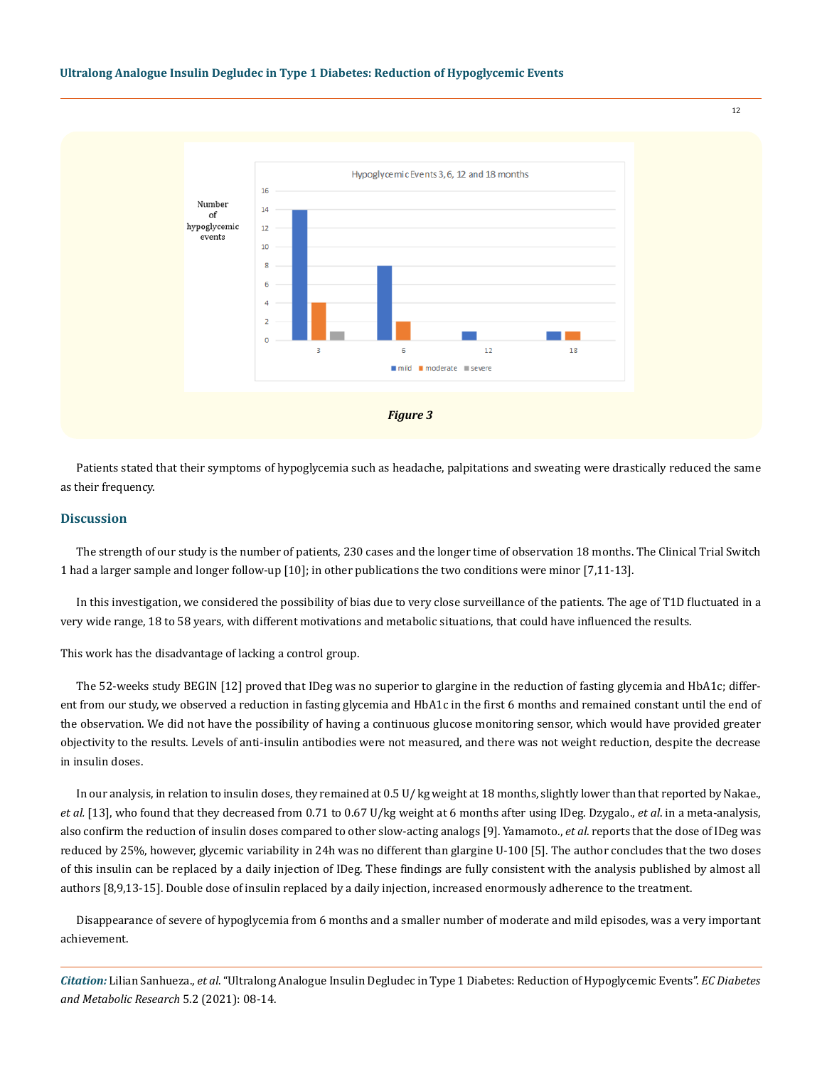

Patients stated that their symptoms of hypoglycemia such as headache, palpitations and sweating were drastically reduced the same as their frequency.

#### **Discussion**

The strength of our study is the number of patients, 230 cases and the longer time of observation 18 months. The Clinical Trial Switch 1 had a larger sample and longer follow-up [10]; in other publications the two conditions were minor [7,11-13].

In this investigation, we considered the possibility of bias due to very close surveillance of the patients. The age of T1D fluctuated in a very wide range, 18 to 58 years, with different motivations and metabolic situations, that could have influenced the results.

This work has the disadvantage of lacking a control group.

The 52-weeks study BEGIN [12] proved that IDeg was no superior to glargine in the reduction of fasting glycemia and HbA1c; different from our study, we observed a reduction in fasting glycemia and HbA1c in the first 6 months and remained constant until the end of the observation. We did not have the possibility of having a continuous glucose monitoring sensor, which would have provided greater objectivity to the results. Levels of anti-insulin antibodies were not measured, and there was not weight reduction, despite the decrease in insulin doses.

In our analysis, in relation to insulin doses, they remained at 0.5 U/ kg weight at 18 months, slightly lower than that reported by Nakae., *et al.* [13], who found that they decreased from 0.71 to 0.67 U/kg weight at 6 months after using IDeg. Dzygalo., *et al*. in a meta-analysis, also confirm the reduction of insulin doses compared to other slow-acting analogs [9]. Yamamoto., *et al*. reports that the dose of IDeg was reduced by 25%, however, glycemic variability in 24h was no different than glargine U-100 [5]. The author concludes that the two doses of this insulin can be replaced by a daily injection of IDeg. These findings are fully consistent with the analysis published by almost all authors [8,9,13-15]. Double dose of insulin replaced by a daily injection, increased enormously adherence to the treatment.

Disappearance of severe of hypoglycemia from 6 months and a smaller number of moderate and mild episodes, was a very important achievement.

*Citation:* Lilian Sanhueza., *et al*. "Ultralong Analogue Insulin Degludec in Type 1 Diabetes: Reduction of Hypoglycemic Events". *EC Diabetes and Metabolic Research* 5.2 (2021): 08-14.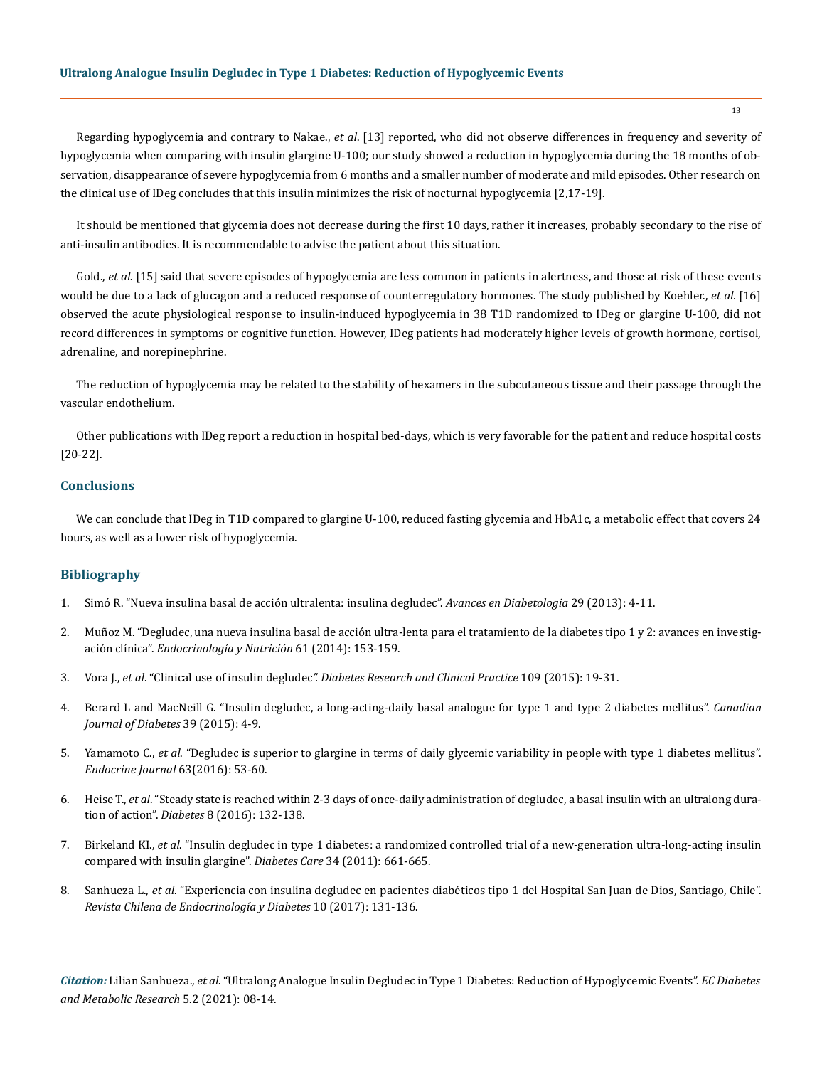Regarding hypoglycemia and contrary to Nakae., *et al*. [13] reported, who did not observe differences in frequency and severity of hypoglycemia when comparing with insulin glargine U-100; our study showed a reduction in hypoglycemia during the 18 months of observation, disappearance of severe hypoglycemia from 6 months and a smaller number of moderate and mild episodes. Other research on the clinical use of IDeg concludes that this insulin minimizes the risk of nocturnal hypoglycemia [2,17-19].

It should be mentioned that glycemia does not decrease during the first 10 days, rather it increases, probably secondary to the rise of anti-insulin antibodies. It is recommendable to advise the patient about this situation.

Gold., *et al.* [15] said that severe episodes of hypoglycemia are less common in patients in alertness, and those at risk of these events would be due to a lack of glucagon and a reduced response of counterregulatory hormones. The study published by Koehler., *et al.* [16] observed the acute physiological response to insulin-induced hypoglycemia in 38 T1D randomized to IDeg or glargine U-100, did not record differences in symptoms or cognitive function. However, IDeg patients had moderately higher levels of growth hormone, cortisol, adrenaline, and norepinephrine.

The reduction of hypoglycemia may be related to the stability of hexamers in the subcutaneous tissue and their passage through the vascular endothelium.

Other publications with IDeg report a reduction in hospital bed-days, which is very favorable for the patient and reduce hospital costs [20-22].

#### **Conclusions**

We can conclude that IDeg in T1D compared to glargine U-100, reduced fasting glycemia and HbA1c, a metabolic effect that covers 24 hours, as well as a lower risk of hypoglycemia.

#### **Bibliography**

- 1. [Simó R. "Nueva insulina basal de acción ultralenta: insulina degludec".](https://www.researchgate.net/publication/257503390_Nueva_insulina_basal_de_accion_ultralenta_insulina_degludec) *Avances en Diabetologia* 29 (2013): 4-11.
- 2. [Muñoz M. "Degludec, una nueva insulina basal de acción ultra-lenta para el tratamiento de la diabetes tipo 1 y 2: avances en investig](https://www.sciencedirect.com/science/article/abs/pii/S1575092213001733)ación clínica". *[Endocrinología y Nutrición](https://www.sciencedirect.com/science/article/abs/pii/S1575092213001733)* 61 (2014): 153-159.
- 3. Vora J., *et al*. "Clinical use of insulin degludec*[". Diabetes Research and Clinical Practice](https://pubmed.ncbi.nlm.nih.gov/25963320/)* 109 (2015): 19-31.
- 4. [Berard L and MacNeill G. "Insulin degludec, a long-acting-daily basal analogue for type 1 and type 2 diabetes mellitus".](https://pubmed.ncbi.nlm.nih.gov/25065475/) *Canadian [Journal of Diabetes](https://pubmed.ncbi.nlm.nih.gov/25065475/)* 39 (2015): 4-9.
- 5. Yamamoto C., *et al*[. "Degludec is superior to glargine in terms of daily glycemic variability in people with type 1 diabetes mellitus".](https://pubmed.ncbi.nlm.nih.gov/26522272/) *[Endocrine Journal](https://pubmed.ncbi.nlm.nih.gov/26522272/)* 63(2016): 53-60.
- 6. Heise T., *et al*[. "Steady state is reached within 2-3 days of once-daily administration of degludec, a basal insulin with an ultralong dura](https://pubmed.ncbi.nlm.nih.gov/25581159/)tion of action". *Diabetes* [8 \(2016\): 132-138.](https://pubmed.ncbi.nlm.nih.gov/25581159/)
- 7. Birkeland KI., *et al*[. "Insulin degludec in type 1 diabetes: a randomized controlled trial of a new-generation ultra-long-acting insulin](https://pubmed.ncbi.nlm.nih.gov/21270174/) [compared with insulin glargine".](https://pubmed.ncbi.nlm.nih.gov/21270174/) *Diabetes Care* 34 (2011): 661-665.
- 8. Sanhueza L., *et al*[. "Experiencia con insulina degludec en pacientes diabéticos tipo 1 del Hospital San Juan de Dios, Santiago, Chile".](http://www.revistasoched.cl/4_2017/2.pdf) *[Revista Chilena de Endocrinología y Diabetes](http://www.revistasoched.cl/4_2017/2.pdf)* 10 (2017): 131-136.

*Citation:* Lilian Sanhueza., *et al*. "Ultralong Analogue Insulin Degludec in Type 1 Diabetes: Reduction of Hypoglycemic Events". *EC Diabetes and Metabolic Research* 5.2 (2021): 08-14.